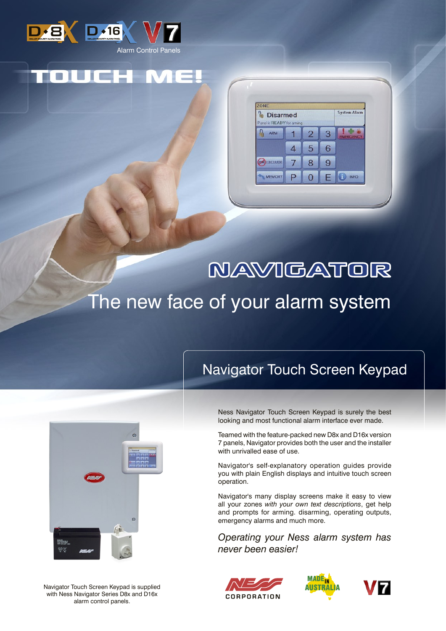

| <b>Disarmed</b><br>in <b>in the film</b><br>Panel is READY for arming<br>HH I |    |                |   | <b>System Alarm</b> |
|-------------------------------------------------------------------------------|----|----------------|---|---------------------|
| ARM                                                                           |    | $\overline{2}$ | 3 | <b>EMERGENCY</b>    |
|                                                                               |    | 5              | 6 |                     |
| <b>EXCLUDE</b>                                                                | W. | 8              | 9 |                     |
| MEMORY                                                                        | P  | o              |   | <b>INFO</b>         |

# **NAVIGATOR** The new face of your alarm system

## Navigator Touch Screen Keypad



Navigator Touch Screen Keypad is supplied with Ness Navigator Series D8x and D16x alarm control panels.

Ness Navigator Touch Screen Keypad is surely the best looking and most functional alarm interface ever made.

Teamed with the feature-packed new D8x and D16x version 7 panels, Navigator provides both the user and the installer with unrivalled ease of use.

Navigator's self-explanatory operation guides provide you with plain English displays and intuitive touch screen operation.

Navigator's many display screens make it easy to view all your zones *with your own text descriptions*, get help and prompts for arming. disarming, operating outputs, emergency alarms and much more.

*Operating your Ness alarm system has never been easier!*





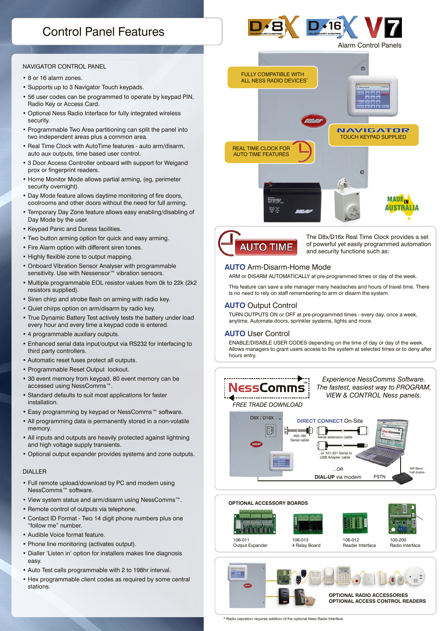### Control Panel Features

# $D \cdot 16$

Alarm Control Panels

#### Navigator Control Panel

- 8 or 16 alarm zones.
- Supports up to 3 Navigator Touch keypads.
- 56 user codes can be programmed to operate by keypad PIN, Radio Key or Access Card.
- Optional Ness Radio Interface for fully integrated wireless security.
- Programmable Two Area partitioning can split the panel into two independent areas plus a common area.
- Real Time Clock with AutoTime features auto arm/disarm, auto aux outputs, time based user control.
- 3 Door Access Controller onboard with support for Weigand prox or fingerprint readers.
- Home Monitor Mode allows partial arming, (eg, perimeter security overnight).
- Day Mode feature allows daytime monitoring of fire doors, coolrooms and other doors without the need for full arming.
- Temporary Day Zone feature allows easy enabling/disabling of Day Mode by the user.
- Keypad Panic and Duress facilities.
- Two button arming option for quick and easy arming.
- Fire Alarm option with different siren tones.
- Highly flexible zone to output mapping.
- Onboard Vibration Sensor Analyser with programmable sensitivity. Use with Nessensor<sup>™</sup> vibration sensors.
- Multiple programmable EOL resistor values from 0k to 22k (2k2 resistors supplied).
- Siren chirp and strobe flash on arming with radio key.
- Quiet chirps option on arm/disarm by radio key.
- True Dynamic Battery Test actively tests the battery under load every hour and every time a keypad code is entered.
- 4 programmable auxiliary outputs.
- Enhanced serial data input/output via RS232 for interfacing to third party controllers.
- Automatic reset fuses protect all outputs.
- Programmable Reset Output lockout.
- 30 event memory from keypad. 80 event memory can be accessed using NessComms™.
- Standard defaults to suit most applications for faster installation.
- Easy programming by keypad or NessComms™ software.
- All programming data is permanently stored in a non-volatile memory.
- All inputs and outputs are heavily protected against lightning and high voltage supply transients.
- Optional output expander provides systems and zone outputs.

#### DIALLER

- Full remote upload/download by PC and modem using NessComms™ software.
- View system status and arm/disarm using NessComms™.
- Remote control of outputs via telephone.
- Contact ID Format Two 14 digit phone numbers plus one "follow me" number.
- Audible Voice format feature.
- Phone line monitoring (activates output).
- Dialler 'Listen in' option for installers makes line diagnosis easy.
- Auto Test calls programmable with 2 to 198hr interval.
- Hex programmable client codes as required by some central stations.





The D8x/D16x Real Time Clock provides a set of powerful yet easily programmed automation and security functions such as:

#### **Auto** Arm-Disarm-Home Mode

ARM or DISARM AUTOMATICALLY at pre-programmed times or day of the week.

This feature can save a site manager many headaches and hours of travel time. There is no need to rely on staff remembering to arm or disarm the system.

#### **Auto** Output Control

TURN OUTPUTS ON or OFF at pre-programmed times - every day, once a week, anytime. Automate doors, sprinkler systems, lights and more.

#### **Auto** User Control

ENABLE/DISABLE USER CODES depending on the time of day or day of the week. Allows managers to grant users access to the system at selected times or to deny after hours entry.



106-013 4 Relay Board

106-012 Reader Interface 100-200 Radio Interface



\* Radio oepration requires addition of the optional Ness Radio Interface.

106-011 Output Expander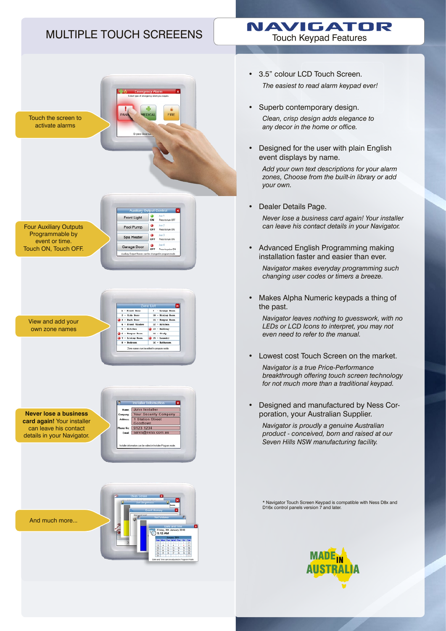### Multiple Touch Screeens

## NAVIGATOR

Touch Keypad Features

- Touch the screen to activate alarms  $\frac{0}{2}$ **Front Light** Four Auxiliary Outputs Pool Pump Programmable by Spa Heater OFF event or time. Garage Door of Must below Touch ON, Touch OFF.  $\frac{9}{10}$ . 19 - Brazil<br>11 - Brazil<br>11 - Kompos I<br>12 - Kitchen<br>20 - Brazil<br>14 - Study<br>16 - Bathroom<br>16 - Bathroom Side B View and add your own zone names Eitcher - katchen<br>- Rompus Room - 14 - Study<br>- Living Room - 15 - Launds<br>- Redroom - 16 - Bathro John Installer **Your Security Comp Never lose a business**  1 Station Street **card again!** Your installer can leave his contact 9123 1234 ales@ness.com.a details in your Navigator. And much more... Friday, at<br>9-12 AM
- 3.5" colour LCD Touch Screen. *The easiest to read alarm keypad ever!*
- Superb contemporary design. *Clean, crisp design adds elegance to any decor in the home or office.* •
- Designed for the user with plain English event displays by name. •

*Add your own text descriptions for your alarm zones, Choose from the built-in library or add your own.*

- Dealer Details Page. *Never lose a business card again! Your installer can leave his contact details in your Navigator.* •
- Advanced English Programming making installation faster and easier than ever. •

*Navigator makes everyday programming such changing user codes or timers a breeze.*

Makes Alpha Numeric keypads a thing of the past. •

*Navigator leaves nothing to guesswork, with no LEDs or LCD Icons to interpret, you may not even need to refer to the manual.*

- Lowest cost Touch Screen on the market. *Navigator is a true Price-Performance breakthrough offering touch screen technology for not much more than a traditional keypad.* •
- Designed and manufactured by Ness Corporation, your Australian Supplier. •

*Navigator is proudly a genuine Australian product - conceived, born and raised at our Seven Hills NSW manufacturing facility.*

\* Navigator Touch Screen Keypad is compatible with Ness D8x and D16x control panels version 7 and later.